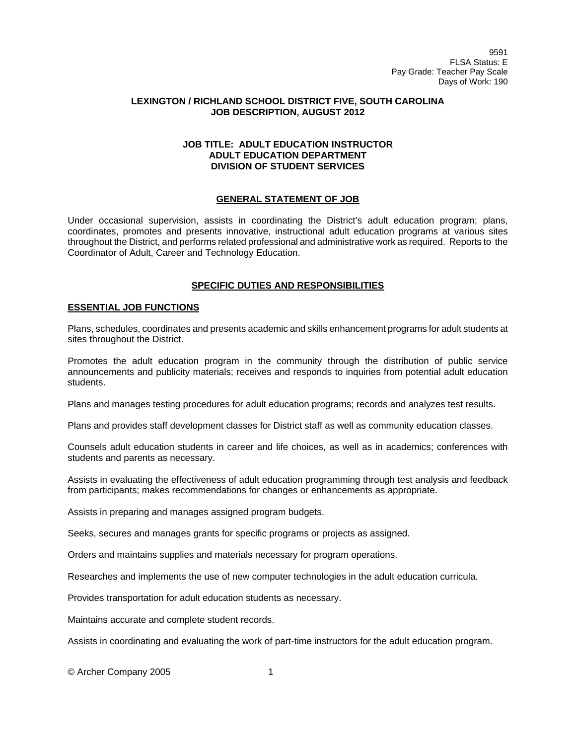9591 FLSA Status: E Pay Grade: Teacher Pay Scale Days of Work: 190

## **LEXINGTON / RICHLAND SCHOOL DISTRICT FIVE, SOUTH CAROLINA JOB DESCRIPTION, AUGUST 2012**

## **JOB TITLE: ADULT EDUCATION INSTRUCTOR ADULT EDUCATION DEPARTMENT DIVISION OF STUDENT SERVICES**

## **GENERAL STATEMENT OF JOB**

Under occasional supervision, assists in coordinating the District's adult education program; plans, coordinates, promotes and presents innovative, instructional adult education programs at various sites throughout the District, and performs related professional and administrative work as required. Reports to the Coordinator of Adult, Career and Technology Education.

## **SPECIFIC DUTIES AND RESPONSIBILITIES**

#### **ESSENTIAL JOB FUNCTIONS**

Plans, schedules, coordinates and presents academic and skills enhancement programs for adult students at sites throughout the District.

Promotes the adult education program in the community through the distribution of public service announcements and publicity materials; receives and responds to inquiries from potential adult education students.

Plans and manages testing procedures for adult education programs; records and analyzes test results.

Plans and provides staff development classes for District staff as well as community education classes.

Counsels adult education students in career and life choices, as well as in academics; conferences with students and parents as necessary.

Assists in evaluating the effectiveness of adult education programming through test analysis and feedback from participants; makes recommendations for changes or enhancements as appropriate.

Assists in preparing and manages assigned program budgets.

Seeks, secures and manages grants for specific programs or projects as assigned.

Orders and maintains supplies and materials necessary for program operations.

Researches and implements the use of new computer technologies in the adult education curricula.

Provides transportation for adult education students as necessary.

Maintains accurate and complete student records.

Assists in coordinating and evaluating the work of part-time instructors for the adult education program.

© Archer Company 2005 1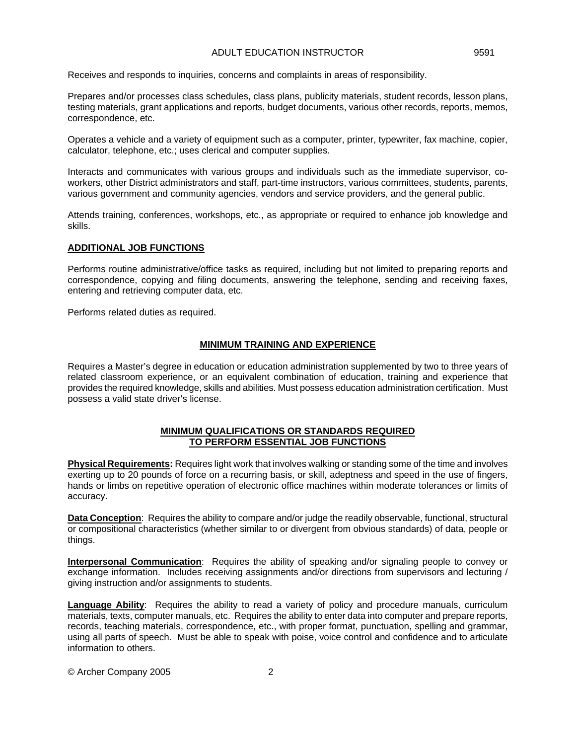#### ADULT EDUCATION INSTRUCTOR 4DULT 2591

Receives and responds to inquiries, concerns and complaints in areas of responsibility.

Prepares and/or processes class schedules, class plans, publicity materials, student records, lesson plans, testing materials, grant applications and reports, budget documents, various other records, reports, memos, correspondence, etc.

Operates a vehicle and a variety of equipment such as a computer, printer, typewriter, fax machine, copier, calculator, telephone, etc.; uses clerical and computer supplies.

Interacts and communicates with various groups and individuals such as the immediate supervisor, coworkers, other District administrators and staff, part-time instructors, various committees, students, parents, various government and community agencies, vendors and service providers, and the general public.

Attends training, conferences, workshops, etc., as appropriate or required to enhance job knowledge and skills.

## **ADDITIONAL JOB FUNCTIONS**

Performs routine administrative/office tasks as required, including but not limited to preparing reports and correspondence, copying and filing documents, answering the telephone, sending and receiving faxes, entering and retrieving computer data, etc.

Performs related duties as required.

# **MINIMUM TRAINING AND EXPERIENCE**

Requires a Master's degree in education or education administration supplemented by two to three years of related classroom experience, or an equivalent combination of education, training and experience that provides the required knowledge, skills and abilities. Must possess education administration certification. Must possess a valid state driver's license.

### **MINIMUM QUALIFICATIONS OR STANDARDS REQUIRED TO PERFORM ESSENTIAL JOB FUNCTIONS**

**Physical Requirements:** Requires light work that involves walking or standing some of the time and involves exerting up to 20 pounds of force on a recurring basis, or skill, adeptness and speed in the use of fingers, hands or limbs on repetitive operation of electronic office machines within moderate tolerances or limits of accuracy.

**Data Conception**: Requires the ability to compare and/or judge the readily observable, functional, structural or compositional characteristics (whether similar to or divergent from obvious standards) of data, people or things.

**Interpersonal Communication**: Requires the ability of speaking and/or signaling people to convey or exchange information. Includes receiving assignments and/or directions from supervisors and lecturing / giving instruction and/or assignments to students.

**Language Ability**: Requires the ability to read a variety of policy and procedure manuals, curriculum materials, texts, computer manuals, etc. Requires the ability to enter data into computer and prepare reports, records, teaching materials, correspondence, etc., with proper format, punctuation, spelling and grammar, using all parts of speech. Must be able to speak with poise, voice control and confidence and to articulate information to others.

© Archer Company 2005 2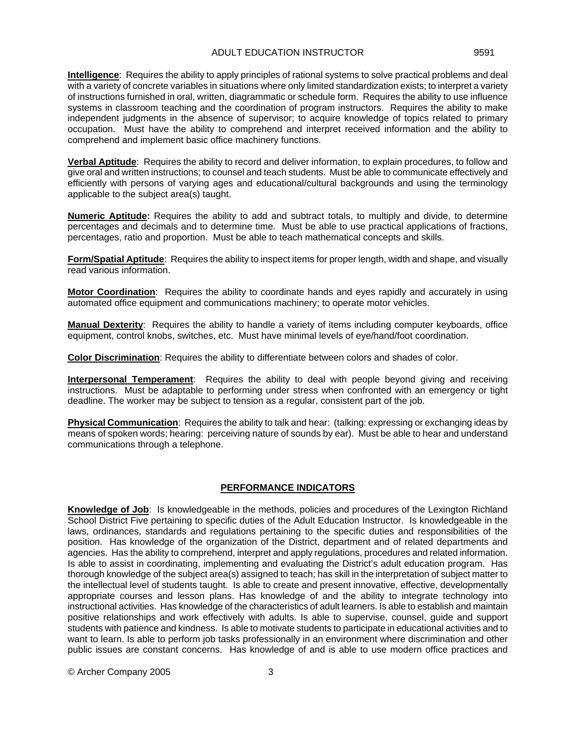**Intelligence**: Requires the ability to apply principles of rational systems to solve practical problems and deal with a variety of concrete variables in situations where only limited standardization exists; to interpret a variety of instructions furnished in oral, written, diagrammatic or schedule form. Requires the ability to use influence systems in classroom teaching and the coordination of program instructors. Requires the ability to make independent judgments in the absence of supervisor; to acquire knowledge of topics related to primary occupation. Must have the ability to comprehend and interpret received information and the ability to comprehend and implement basic office machinery functions.

**Verbal Aptitude**: Requires the ability to record and deliver information, to explain procedures, to follow and give oral and written instructions; to counsel and teach students. Must be able to communicate effectively and efficiently with persons of varying ages and educational/cultural backgrounds and using the terminology applicable to the subject area(s) taught.

**Numeric Aptitude:** Requires the ability to add and subtract totals, to multiply and divide, to determine percentages and decimals and to determine time. Must be able to use practical applications of fractions, percentages, ratio and proportion. Must be able to teach mathematical concepts and skills.

**Form/Spatial Aptitude**: Requires the ability to inspect items for proper length, width and shape, and visually read various information.

**Motor Coordination**: Requires the ability to coordinate hands and eyes rapidly and accurately in using automated office equipment and communications machinery; to operate motor vehicles.

**Manual Dexterity**: Requires the ability to handle a variety of items including computer keyboards, office equipment, control knobs, switches, etc. Must have minimal levels of eye/hand/foot coordination.

**Color Discrimination**: Requires the ability to differentiate between colors and shades of color.

**Interpersonal Temperament**: Requires the ability to deal with people beyond giving and receiving instructions. Must be adaptable to performing under stress when confronted with an emergency or tight deadline. The worker may be subject to tension as a regular, consistent part of the job.

**Physical Communication**: Requires the ability to talk and hear: (talking: expressing or exchanging ideas by means of spoken words; hearing: perceiving nature of sounds by ear). Must be able to hear and understand communications through a telephone.

## **PERFORMANCE INDICATORS**

**Knowledge of Job**: Is knowledgeable in the methods, policies and procedures of the Lexington Richland School District Five pertaining to specific duties of the Adult Education Instructor. Is knowledgeable in the laws, ordinances, standards and regulations pertaining to the specific duties and responsibilities of the position. Has knowledge of the organization of the District, department and of related departments and agencies. Has the ability to comprehend, interpret and apply regulations, procedures and related information. Is able to assist in coordinating, implementing and evaluating the District's adult education program. Has thorough knowledge of the subject area(s) assigned to teach; has skill in the interpretation of subject matter to the intellectual level of students taught. Is able to create and present innovative, effective, developmentally appropriate courses and lesson plans. Has knowledge of and the ability to integrate technology into instructional activities. Has knowledge of the characteristics of adult learners. Is able to establish and maintain positive relationships and work effectively with adults. Is able to supervise, counsel, guide and support students with patience and kindness. Is able to motivate students to participate in educational activities and to want to learn. Is able to perform job tasks professionally in an environment where discrimination and other public issues are constant concerns. Has knowledge of and is able to use modern office practices and

© Archer Company 2005 3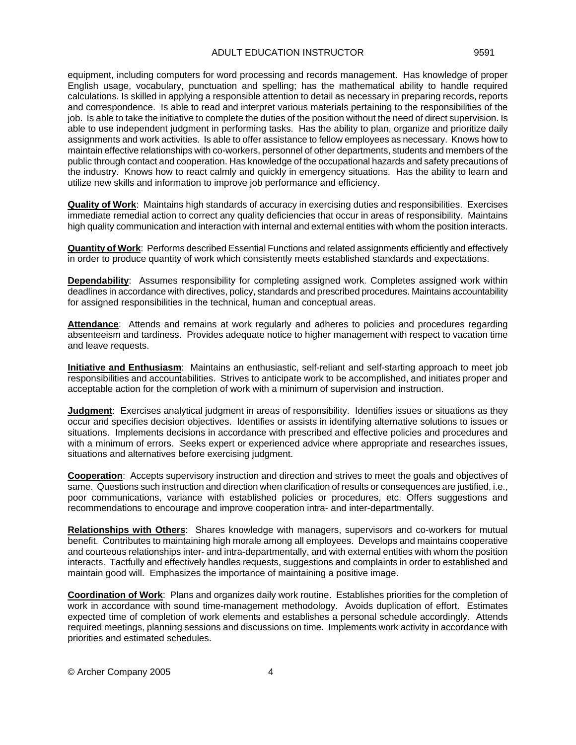equipment, including computers for word processing and records management. Has knowledge of proper English usage, vocabulary, punctuation and spelling; has the mathematical ability to handle required calculations. Is skilled in applying a responsible attention to detail as necessary in preparing records, reports and correspondence. Is able to read and interpret various materials pertaining to the responsibilities of the job. Is able to take the initiative to complete the duties of the position without the need of direct supervision. Is able to use independent judgment in performing tasks. Has the ability to plan, organize and prioritize daily assignments and work activities. Is able to offer assistance to fellow employees as necessary. Knows how to maintain effective relationships with co-workers, personnel of other departments, students and members of the public through contact and cooperation. Has knowledge of the occupational hazards and safety precautions of the industry. Knows how to react calmly and quickly in emergency situations. Has the ability to learn and utilize new skills and information to improve job performance and efficiency.

**Quality of Work**: Maintains high standards of accuracy in exercising duties and responsibilities. Exercises immediate remedial action to correct any quality deficiencies that occur in areas of responsibility. Maintains high quality communication and interaction with internal and external entities with whom the position interacts.

**Quantity of Work**: Performs described Essential Functions and related assignments efficiently and effectively in order to produce quantity of work which consistently meets established standards and expectations.

**Dependability**: Assumes responsibility for completing assigned work. Completes assigned work within deadlines in accordance with directives, policy, standards and prescribed procedures. Maintains accountability for assigned responsibilities in the technical, human and conceptual areas.

Attendance: Attends and remains at work regularly and adheres to policies and procedures regarding absenteeism and tardiness. Provides adequate notice to higher management with respect to vacation time and leave requests.

**Initiative and Enthusiasm**: Maintains an enthusiastic, self-reliant and self-starting approach to meet job responsibilities and accountabilities. Strives to anticipate work to be accomplished, and initiates proper and acceptable action for the completion of work with a minimum of supervision and instruction.

**Judgment**: Exercises analytical judgment in areas of responsibility. Identifies issues or situations as they occur and specifies decision objectives. Identifies or assists in identifying alternative solutions to issues or situations. Implements decisions in accordance with prescribed and effective policies and procedures and with a minimum of errors. Seeks expert or experienced advice where appropriate and researches issues, situations and alternatives before exercising judgment.

**Cooperation**: Accepts supervisory instruction and direction and strives to meet the goals and objectives of same. Questions such instruction and direction when clarification of results or consequences are justified, i.e., poor communications, variance with established policies or procedures, etc. Offers suggestions and recommendations to encourage and improve cooperation intra- and inter-departmentally.

**Relationships with Others**: Shares knowledge with managers, supervisors and co-workers for mutual benefit. Contributes to maintaining high morale among all employees. Develops and maintains cooperative and courteous relationships inter- and intra-departmentally, and with external entities with whom the position interacts. Tactfully and effectively handles requests, suggestions and complaints in order to established and maintain good will. Emphasizes the importance of maintaining a positive image.

**Coordination of Work**: Plans and organizes daily work routine. Establishes priorities for the completion of work in accordance with sound time-management methodology. Avoids duplication of effort. Estimates expected time of completion of work elements and establishes a personal schedule accordingly. Attends required meetings, planning sessions and discussions on time. Implements work activity in accordance with priorities and estimated schedules.